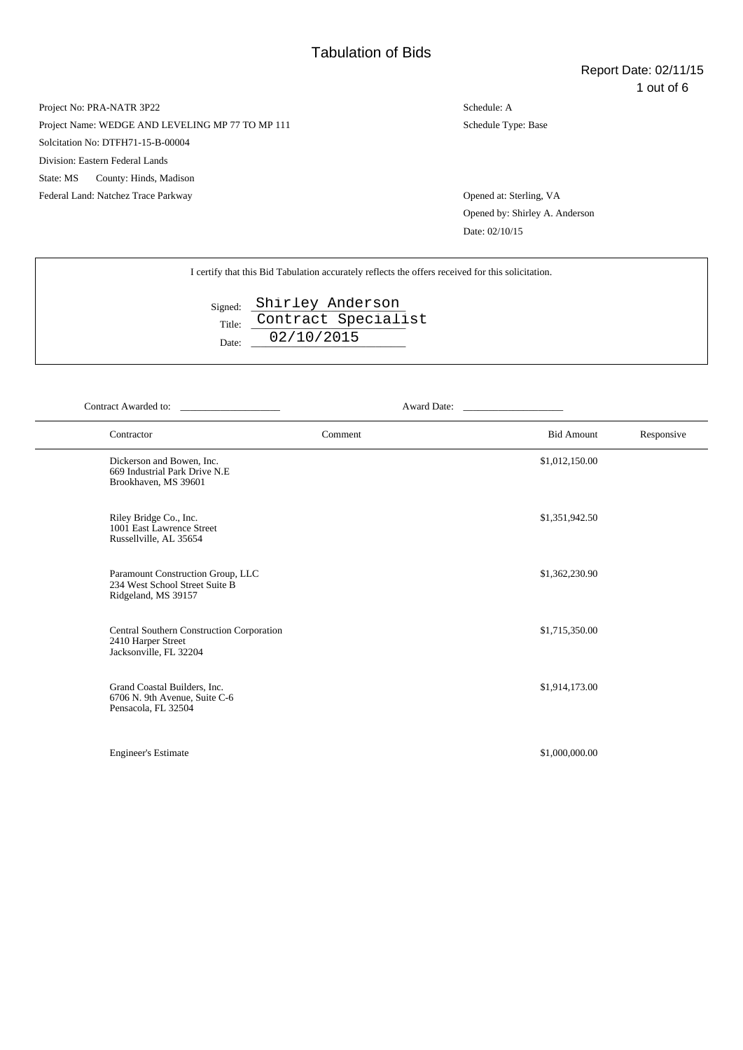Project Name: WEDGE AND LEVELING MP 77 TO MP 111

Solcitation No: DTFH71-15-B-00004

Division: Eastern Federal Lands

State: MS County: Hinds, Madison

Federal Land: Natchez Trace Parkway Opened at: Sterling, VA

Schedule: A Schedule Type: Base

Opened by: Shirley A. Anderson Date: 02/10/15

|                 | I certify that this Bid Tabulation accurately reflects the offers received for this solicitation. |
|-----------------|---------------------------------------------------------------------------------------------------|
| Title:<br>Date: | Signed: Shirley Anderson<br>Contract Specialist<br>02/10/2015                                     |

| Contract Awarded to:                                                                       | Award Date: |                   |            |
|--------------------------------------------------------------------------------------------|-------------|-------------------|------------|
| Contractor                                                                                 | Comment     | <b>Bid Amount</b> | Responsive |
| Dickerson and Bowen, Inc.<br>669 Industrial Park Drive N.E<br>Brookhaven, MS 39601         |             | \$1,012,150.00    |            |
| Riley Bridge Co., Inc.<br>1001 East Lawrence Street<br>Russellville, AL 35654              |             | \$1,351,942.50    |            |
| Paramount Construction Group, LLC<br>234 West School Street Suite B<br>Ridgeland, MS 39157 |             | \$1,362,230.90    |            |
| Central Southern Construction Corporation<br>2410 Harper Street<br>Jacksonville, FL 32204  |             | \$1,715,350.00    |            |
| Grand Coastal Builders, Inc.<br>6706 N. 9th Avenue, Suite C-6<br>Pensacola, FL 32504       |             | \$1,914,173.00    |            |
| <b>Engineer's Estimate</b>                                                                 |             | \$1,000,000.00    |            |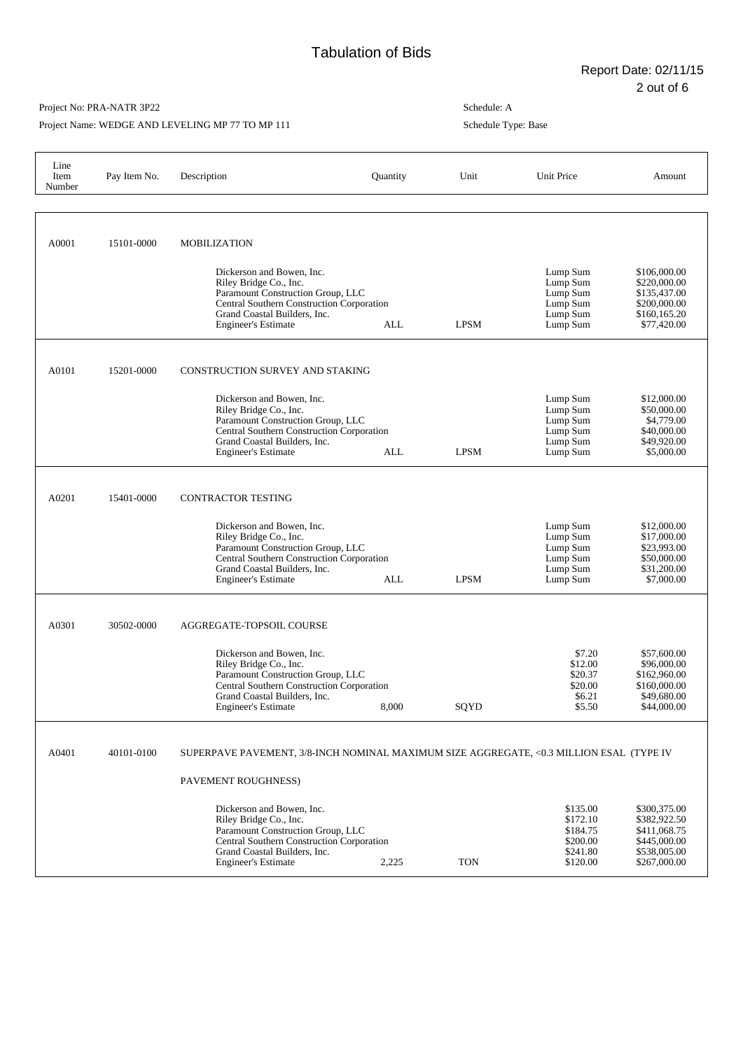Project Name: WEDGE AND LEVELING MP 77 TO MP 111

| Line<br>Item<br>Number | Pay Item No. | Description                                                                                                                                                                                                | Quantity | Unit        | Unit Price                                                           | Amount                                                                                       |
|------------------------|--------------|------------------------------------------------------------------------------------------------------------------------------------------------------------------------------------------------------------|----------|-------------|----------------------------------------------------------------------|----------------------------------------------------------------------------------------------|
|                        |              |                                                                                                                                                                                                            |          |             |                                                                      |                                                                                              |
| A0001                  | 15101-0000   | <b>MOBILIZATION</b>                                                                                                                                                                                        |          |             |                                                                      |                                                                                              |
|                        |              | Dickerson and Bowen, Inc.<br>Riley Bridge Co., Inc.<br>Paramount Construction Group, LLC<br><b>Central Southern Construction Corporation</b><br>Grand Coastal Builders, Inc.<br><b>Engineer's Estimate</b> | ALL      | <b>LPSM</b> | Lump Sum<br>Lump Sum<br>Lump Sum<br>Lump Sum<br>Lump Sum<br>Lump Sum | \$106,000.00<br>\$220,000.00<br>\$135,437.00<br>\$200,000.00<br>\$160,165.20<br>\$77,420.00  |
| A0101                  | 15201-0000   | CONSTRUCTION SURVEY AND STAKING                                                                                                                                                                            |          |             |                                                                      |                                                                                              |
|                        |              | Dickerson and Bowen, Inc.<br>Riley Bridge Co., Inc.<br>Paramount Construction Group, LLC<br><b>Central Southern Construction Corporation</b><br>Grand Coastal Builders, Inc.<br><b>Engineer's Estimate</b> | ALL      | <b>LPSM</b> | Lump Sum<br>Lump Sum<br>Lump Sum<br>Lump Sum<br>Lump Sum<br>Lump Sum | \$12,000.00<br>\$50,000.00<br>\$4,779.00<br>\$40,000.00<br>\$49,920.00<br>\$5,000.00         |
| A0201                  | 15401-0000   | <b>CONTRACTOR TESTING</b>                                                                                                                                                                                  |          |             |                                                                      |                                                                                              |
|                        |              | Dickerson and Bowen, Inc.<br>Riley Bridge Co., Inc.<br>Paramount Construction Group, LLC<br><b>Central Southern Construction Corporation</b><br>Grand Coastal Builders, Inc.<br><b>Engineer's Estimate</b> | ALL      | <b>LPSM</b> | Lump Sum<br>Lump Sum<br>Lump Sum<br>Lump Sum<br>Lump Sum<br>Lump Sum | \$12,000.00<br>\$17,000.00<br>\$23,993.00<br>\$50,000.00<br>\$31,200.00<br>\$7,000.00        |
| A0301                  | 30502-0000   | AGGREGATE-TOPSOIL COURSE                                                                                                                                                                                   |          |             |                                                                      |                                                                                              |
|                        |              | Dickerson and Bowen, Inc.<br>Riley Bridge Co., Inc.<br>Paramount Construction Group, LLC<br>Central Southern Construction Corporation<br>Grand Coastal Builders, Inc.<br><b>Engineer's Estimate</b>        | 8,000    | SQYD        | \$7.20<br>\$12.00<br>\$20.37<br>\$20.00<br>\$6.21<br>\$5.50          | \$57,600.00<br>\$96,000.00<br>\$162,960.00<br>\$160,000.00<br>\$49,680.00<br>\$44,000.00     |
| A0401                  | 40101-0100   | SUPERPAVE PAVEMENT, 3/8-INCH NOMINAL MAXIMUM SIZE AGGREGATE, <0.3 MILLION ESAL (TYPE IV                                                                                                                    |          |             |                                                                      |                                                                                              |
|                        |              | PAVEMENT ROUGHNESS)                                                                                                                                                                                        |          |             |                                                                      |                                                                                              |
|                        |              | Dickerson and Bowen, Inc.<br>Riley Bridge Co., Inc.<br>Paramount Construction Group, LLC<br>Central Southern Construction Corporation<br>Grand Coastal Builders, Inc.<br><b>Engineer's Estimate</b>        | 2,225    | <b>TON</b>  | \$135.00<br>\$172.10<br>\$184.75<br>\$200.00<br>\$241.80<br>\$120.00 | \$300,375.00<br>\$382,922.50<br>\$411,068.75<br>\$445,000.00<br>\$538,005.00<br>\$267,000.00 |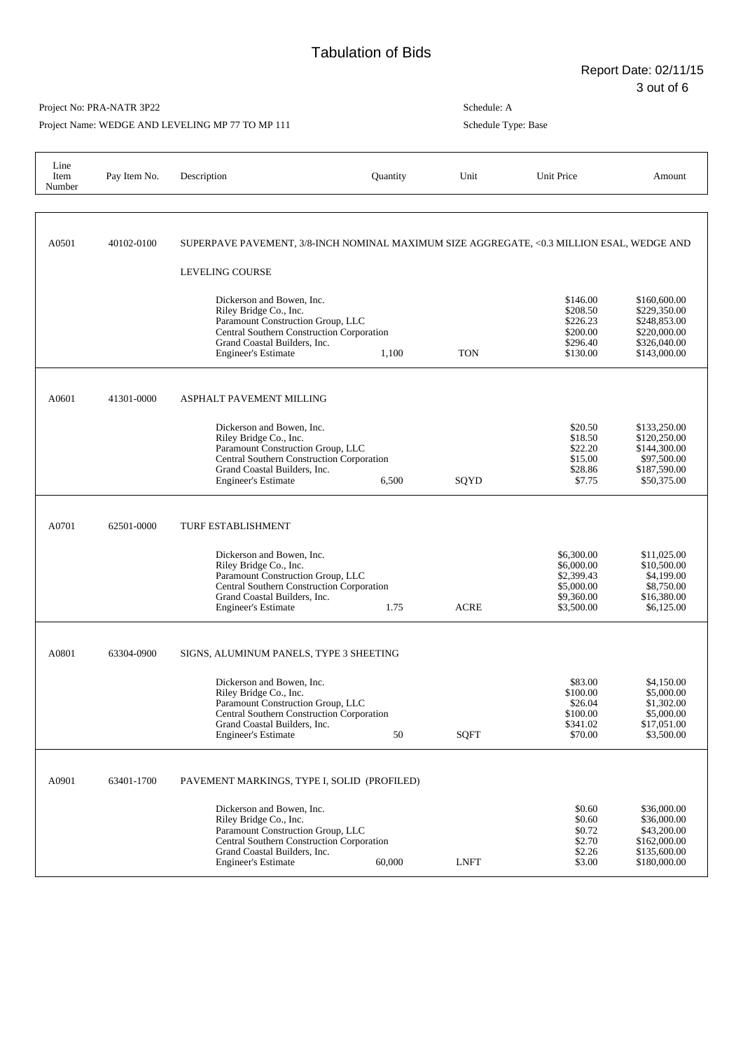Project Name: WEDGE AND LEVELING MP 77 TO MP 111

| Line<br>Item<br>Number | Pay Item No. | Description                                                                                                                                                                                         | Quantity | Unit        | Unit Price                                                                       | Amount                                                                                       |
|------------------------|--------------|-----------------------------------------------------------------------------------------------------------------------------------------------------------------------------------------------------|----------|-------------|----------------------------------------------------------------------------------|----------------------------------------------------------------------------------------------|
| A0501                  | 40102-0100   | SUPERPAVE PAVEMENT, 3/8-INCH NOMINAL MAXIMUM SIZE AGGREGATE, <0.3 MILLION ESAL, WEDGE AND<br><b>LEVELING COURSE</b>                                                                                 |          |             |                                                                                  |                                                                                              |
|                        |              | Dickerson and Bowen, Inc.<br>Riley Bridge Co., Inc.<br>Paramount Construction Group, LLC<br>Central Southern Construction Corporation<br>Grand Coastal Builders, Inc.<br><b>Engineer's Estimate</b> | 1,100    | <b>TON</b>  | \$146.00<br>\$208.50<br>\$226.23<br>\$200.00<br>\$296.40<br>\$130.00             | \$160,600.00<br>\$229,350.00<br>\$248,853.00<br>\$220,000.00<br>\$326,040.00<br>\$143,000.00 |
| A0601                  | 41301-0000   | ASPHALT PAVEMENT MILLING                                                                                                                                                                            |          |             |                                                                                  |                                                                                              |
|                        |              | Dickerson and Bowen, Inc.<br>Riley Bridge Co., Inc.<br>Paramount Construction Group, LLC<br>Central Southern Construction Corporation<br>Grand Coastal Builders, Inc.<br><b>Engineer's Estimate</b> | 6,500    | SQYD        | \$20.50<br>\$18.50<br>\$22.20<br>\$15.00<br>\$28.86<br>\$7.75                    | \$133,250.00<br>\$120,250.00<br>\$144,300.00<br>\$97,500.00<br>\$187,590.00<br>\$50,375.00   |
| A0701                  | 62501-0000   | <b>TURF ESTABLISHMENT</b>                                                                                                                                                                           |          |             |                                                                                  |                                                                                              |
|                        |              | Dickerson and Bowen, Inc.<br>Riley Bridge Co., Inc.<br>Paramount Construction Group, LLC<br>Central Southern Construction Corporation<br>Grand Coastal Builders, Inc.<br><b>Engineer's Estimate</b> | 1.75     | <b>ACRE</b> | \$6,300.00<br>\$6,000.00<br>\$2,399.43<br>\$5,000.00<br>\$9,360.00<br>\$3,500.00 | \$11,025.00<br>\$10,500.00<br>\$4,199.00<br>\$8,750.00<br>\$16,380.00<br>\$6,125.00          |
| A0801                  | 63304-0900   | SIGNS, ALUMINUM PANELS, TYPE 3 SHEETING                                                                                                                                                             |          |             |                                                                                  |                                                                                              |
|                        |              | Dickerson and Bowen, Inc.<br>Riley Bridge Co., Inc.<br>Paramount Construction Group, LLC<br>Central Southern Construction Corporation<br>Grand Coastal Builders, Inc.<br><b>Engineer's Estimate</b> | 50       | <b>SQFT</b> | \$83.00<br>\$100.00<br>\$26.04<br>\$100.00<br>\$341.02<br>\$70.00                | \$4,150.00<br>\$5,000.00<br>\$1,302.00<br>\$5,000.00<br>\$17,051.00<br>\$3,500.00            |
| A0901                  | 63401-1700   | PAVEMENT MARKINGS, TYPE I, SOLID (PROFILED)                                                                                                                                                         |          |             |                                                                                  |                                                                                              |
|                        |              | Dickerson and Bowen, Inc.<br>Riley Bridge Co., Inc.<br>Paramount Construction Group, LLC<br>Central Southern Construction Corporation<br>Grand Coastal Builders, Inc.<br><b>Engineer's Estimate</b> | 60,000   | <b>LNFT</b> | \$0.60<br>\$0.60<br>\$0.72<br>\$2.70<br>\$2.26<br>\$3.00                         | \$36,000.00<br>\$36,000.00<br>\$43,200.00<br>\$162,000.00<br>\$135,600.00<br>\$180,000.00    |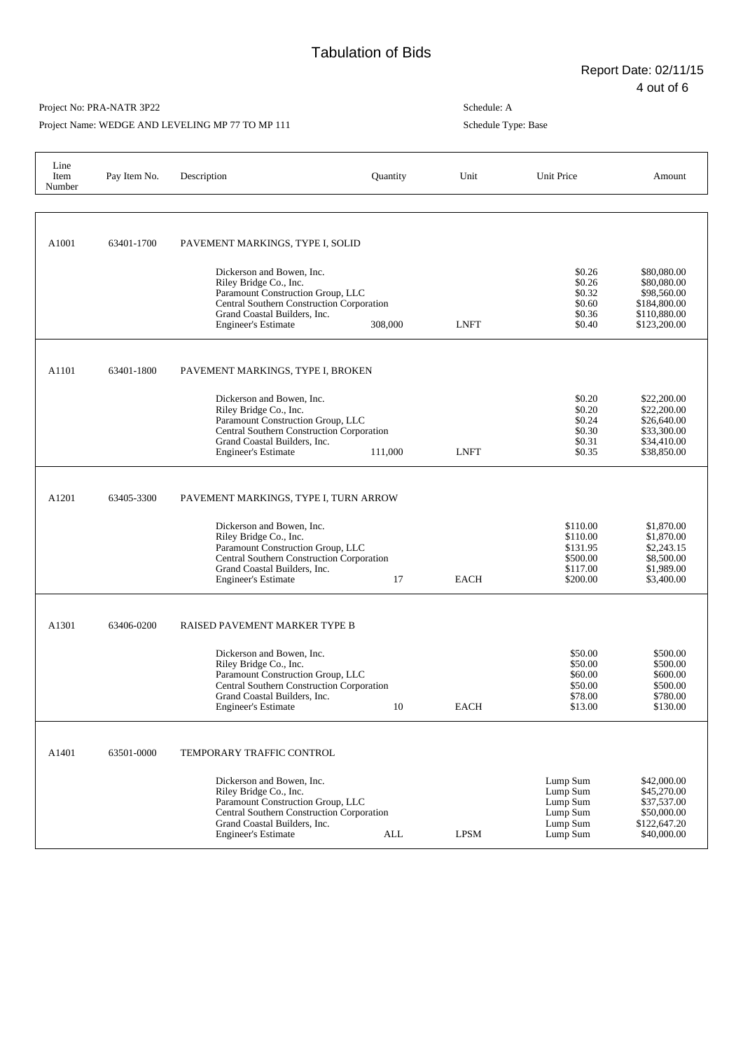### Project No: PRA-NATR 3P22

Project Name: WEDGE AND LEVELING MP 77 TO MP 111

| Line<br>Item<br>Number | Pay Item No. | Description                                                                                                                                                                                                                                  | Quantity | Unit        | Unit Price                                                           | Amount                                                                                    |
|------------------------|--------------|----------------------------------------------------------------------------------------------------------------------------------------------------------------------------------------------------------------------------------------------|----------|-------------|----------------------------------------------------------------------|-------------------------------------------------------------------------------------------|
| A1001                  | 63401-1700   | PAVEMENT MARKINGS, TYPE I, SOLID<br>Dickerson and Bowen, Inc.<br>Riley Bridge Co., Inc.<br>Paramount Construction Group, LLC<br>Central Southern Construction Corporation<br>Grand Coastal Builders, Inc.<br><b>Engineer's Estimate</b>      | 308,000  | <b>LNFT</b> | \$0.26<br>\$0.26<br>\$0.32<br>\$0.60<br>\$0.36<br>\$0.40             | \$80,080.00<br>\$80,080.00<br>\$98,560.00<br>\$184,800.00<br>\$110,880.00<br>\$123,200.00 |
| A1101                  | 63401-1800   | PAVEMENT MARKINGS, TYPE I, BROKEN<br>Dickerson and Bowen, Inc.<br>Riley Bridge Co., Inc.<br>Paramount Construction Group, LLC<br>Central Southern Construction Corporation<br>Grand Coastal Builders, Inc.<br><b>Engineer's Estimate</b>     | 111,000  | <b>LNFT</b> | \$0.20<br>\$0.20<br>\$0.24<br>\$0.30<br>\$0.31<br>\$0.35             | \$22,200.00<br>\$22,200.00<br>\$26,640.00<br>\$33,300.00<br>\$34,410.00<br>\$38,850.00    |
| A1201                  | 63405-3300   | PAVEMENT MARKINGS, TYPE I, TURN ARROW<br>Dickerson and Bowen, Inc.<br>Riley Bridge Co., Inc.<br>Paramount Construction Group, LLC<br>Central Southern Construction Corporation<br>Grand Coastal Builders, Inc.<br><b>Engineer's Estimate</b> | 17       | <b>EACH</b> | \$110.00<br>\$110.00<br>\$131.95<br>\$500.00<br>\$117.00<br>\$200.00 | \$1,870.00<br>\$1,870.00<br>\$2,243.15<br>\$8,500.00<br>\$1,989.00<br>\$3,400.00          |
| A1301                  | 63406-0200   | RAISED PAVEMENT MARKER TYPE B<br>Dickerson and Bowen, Inc.<br>Riley Bridge Co., Inc.<br>Paramount Construction Group, LLC<br>Central Southern Construction Corporation<br>Grand Coastal Builders, Inc.<br><b>Engineer's Estimate</b>         | 10       | <b>EACH</b> | \$50.00<br>\$50.00<br>\$60.00<br>\$50.00<br>\$78.00<br>\$13.00       | \$500.00<br>\$500.00<br>\$600.00<br>\$500.00<br>\$780.00<br>\$130.00                      |
| A1401                  | 63501-0000   | TEMPORARY TRAFFIC CONTROL<br>Dickerson and Bowen, Inc.<br>Riley Bridge Co., Inc.<br>Paramount Construction Group, LLC<br>Central Southern Construction Corporation<br>Grand Coastal Builders, Inc.<br><b>Engineer's Estimate</b>             | ALL      | <b>LPSM</b> | Lump Sum<br>Lump Sum<br>Lump Sum<br>Lump Sum<br>Lump Sum<br>Lump Sum | \$42,000.00<br>\$45,270.00<br>\$37,537.00<br>\$50,000.00<br>\$122,647.20<br>\$40,000.00   |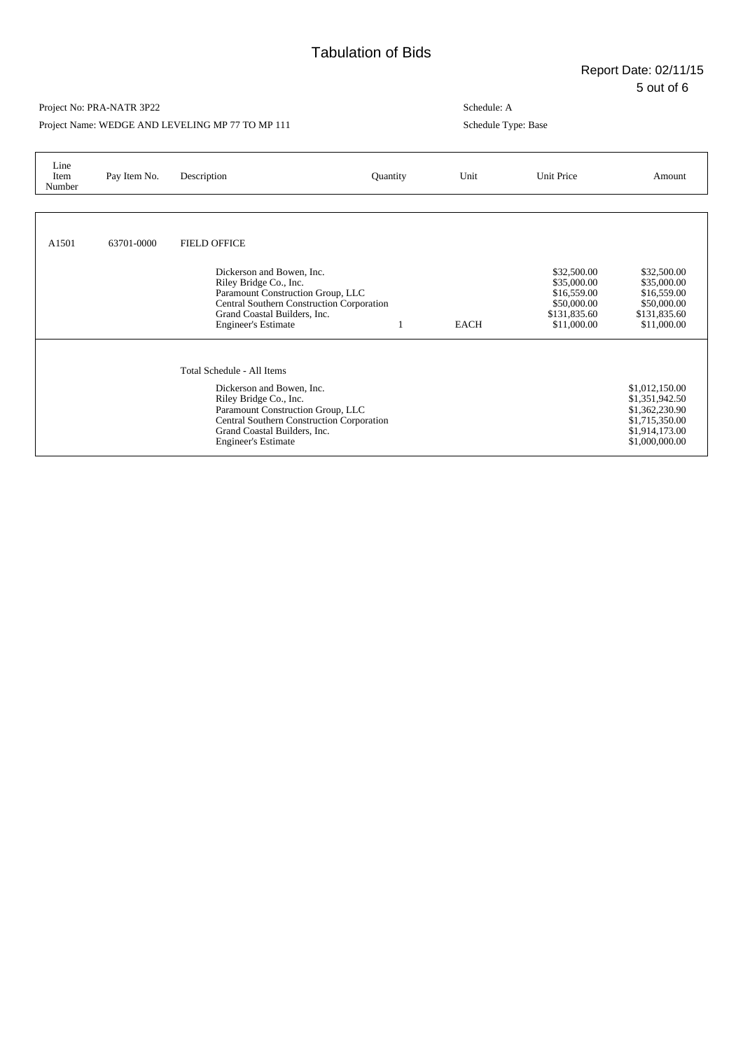Project Name: WEDGE AND LEVELING MP 77 TO MP 111

| Line<br>Item<br>Number | Pay Item No. | Description                                                                                                                                                                                                                       | Quantity | Unit | Unit Price                                                                              | Amount                                                                                                   |
|------------------------|--------------|-----------------------------------------------------------------------------------------------------------------------------------------------------------------------------------------------------------------------------------|----------|------|-----------------------------------------------------------------------------------------|----------------------------------------------------------------------------------------------------------|
|                        |              |                                                                                                                                                                                                                                   |          |      |                                                                                         |                                                                                                          |
| A1501                  | 63701-0000   | <b>FIELD OFFICE</b><br>Dickerson and Bowen, Inc.<br>Riley Bridge Co., Inc.<br>Paramount Construction Group, LLC<br><b>Central Southern Construction Corporation</b><br>Grand Coastal Builders, Inc.<br><b>Engineer's Estimate</b> |          | EACH | \$32,500.00<br>\$35,000.00<br>\$16,559.00<br>\$50,000.00<br>\$131,835.60<br>\$11,000.00 | \$32,500.00<br>\$35,000.00<br>\$16,559.00<br>\$50,000.00<br>\$131,835.60<br>\$11,000.00                  |
|                        |              | Total Schedule - All Items<br>Dickerson and Bowen, Inc.<br>Riley Bridge Co., Inc.<br>Paramount Construction Group, LLC<br>Central Southern Construction Corporation<br>Grand Coastal Builders, Inc.<br><b>Engineer's Estimate</b> |          |      |                                                                                         | \$1,012,150.00<br>\$1,351,942.50<br>\$1,362,230.90<br>\$1,715,350.00<br>\$1,914,173.00<br>\$1,000,000.00 |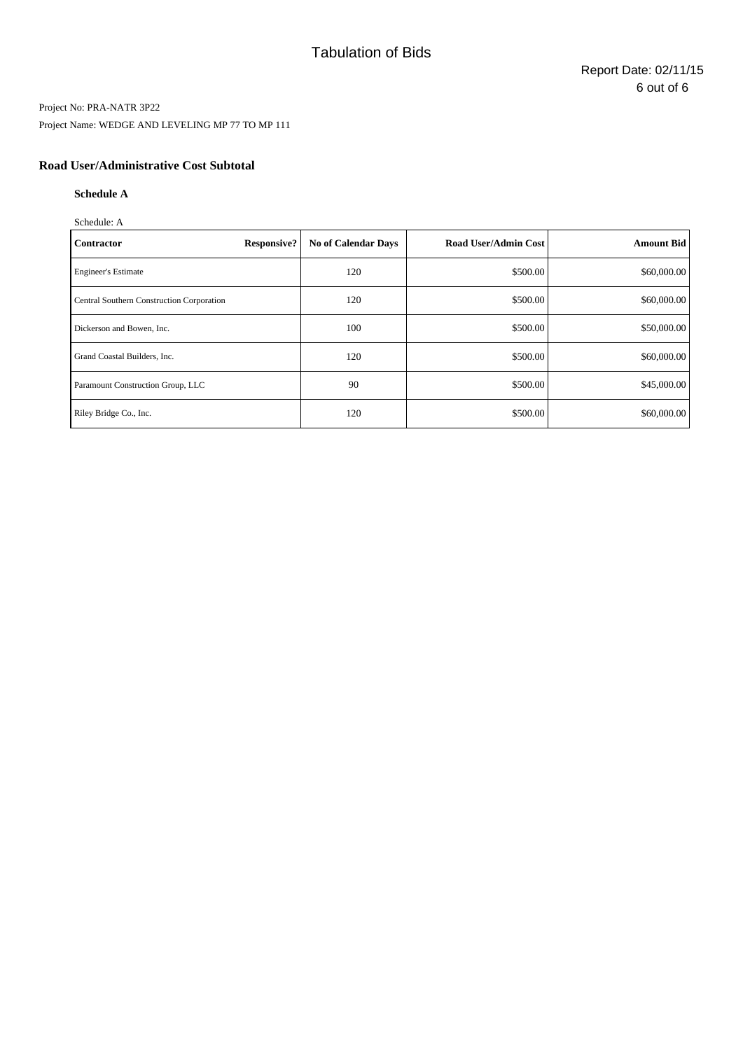## Project No: PRA-NATR 3P22 Project Name: WEDGE AND LEVELING MP 77 TO MP 111

## **Road User/Administrative Cost Subtotal**

### **Schedule A**

Schedule: A

| <b>Contractor</b>                         | <b>Responsive?</b> | <b>No of Calendar Days</b> | <b>Road User/Admin Cost</b> | <b>Amount Bid</b> |
|-------------------------------------------|--------------------|----------------------------|-----------------------------|-------------------|
| <b>Engineer's Estimate</b>                |                    | 120                        | \$500.00                    | \$60,000.00       |
| Central Southern Construction Corporation |                    | 120                        | \$500.00                    | \$60,000.00       |
| Dickerson and Bowen, Inc.                 |                    | 100                        | \$500.00                    | \$50,000.00       |
| Grand Coastal Builders, Inc.              |                    | 120                        | \$500.00                    | \$60,000.00       |
| Paramount Construction Group, LLC         |                    | 90                         | \$500.00                    | \$45,000.00       |
| Riley Bridge Co., Inc.                    |                    | 120                        | \$500.00                    | \$60,000.00       |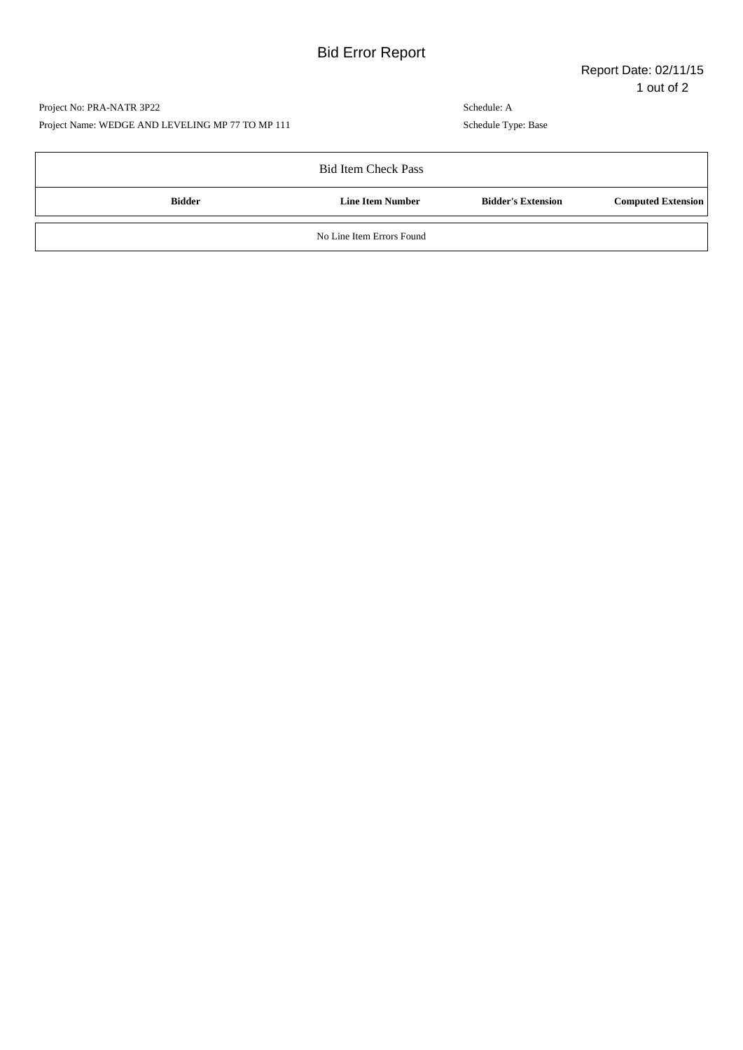## Project No: PRA-NATR 3P22 Project Name: WEDGE AND LEVELING MP 77 TO MP 111

|               | <b>Bid Item Check Pass</b> |                           |                           |
|---------------|----------------------------|---------------------------|---------------------------|
| <b>Bidder</b> | <b>Line Item Number</b>    | <b>Bidder's Extension</b> | <b>Computed Extension</b> |
|               | No Line Item Errors Found  |                           |                           |